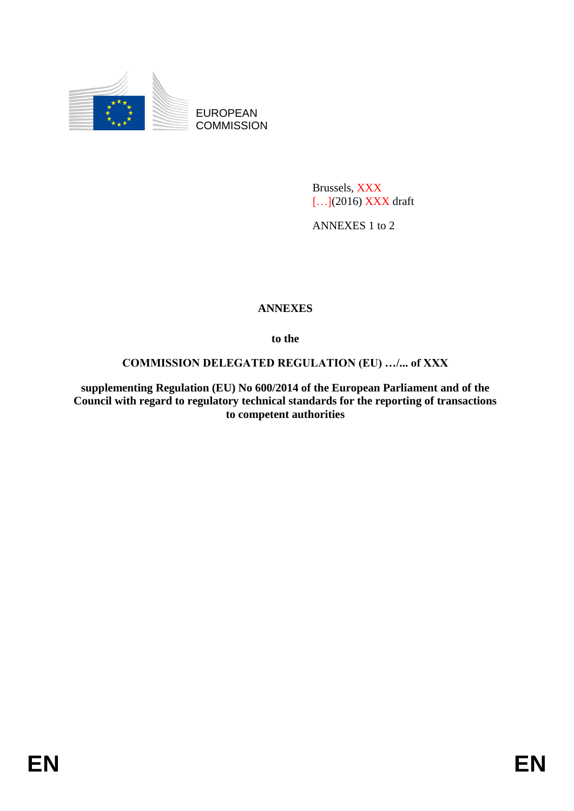

EUROPEAN **COMMISSION** 

> Brussels, XXX [...](2016) XXX draft

ANNEXES 1 to 2

### **ANNEXES**

**to the** 

### **COMMISSION DELEGATED REGULATION (EU) …/... of XXX**

**supplementing Regulation (EU) No 600/2014 of the European Parliament and of the Council with regard to regulatory technical standards for the reporting of transactions to competent authorities**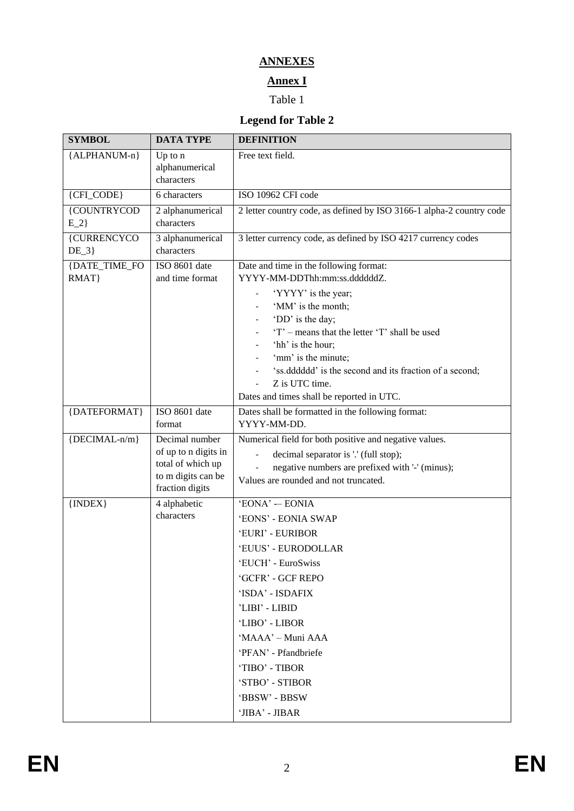# **ANNEXES**

## **Annex I**

### Table 1

## **Legend for Table 2**

| <b>SYMBOL</b>          | <b>DATA TYPE</b>               | <b>DEFINITION</b>                                                         |
|------------------------|--------------------------------|---------------------------------------------------------------------------|
| {ALPHANUM-n}           | Up to $n$                      | Free text field.                                                          |
|                        | alphanumerical                 |                                                                           |
|                        | characters                     |                                                                           |
| {CFI_CODE}             | 6 characters                   | ISO 10962 CFI code                                                        |
| {COUNTRYCOD<br>$E_2$ } | 2 alphanumerical<br>characters | 2 letter country code, as defined by ISO 3166-1 alpha-2 country code      |
| {CURRENCYCO            | 3 alphanumerical               | 3 letter currency code, as defined by ISO 4217 currency codes             |
| $DE_3$                 | characters                     |                                                                           |
| {DATE_TIME_FO          | ISO 8601 date                  | Date and time in the following format:                                    |
| RMAT}                  | and time format                | YYYY-MM-DDThh:mm:ss.ddddddZ.                                              |
|                        |                                | 'YYYY' is the year;                                                       |
|                        |                                | 'MM' is the month;                                                        |
|                        |                                | 'DD' is the day;                                                          |
|                        |                                | 'T' – means that the letter 'T' shall be used                             |
|                        |                                | 'hh' is the hour;                                                         |
|                        |                                | 'mm' is the minute;                                                       |
|                        |                                | 'ss.dddddd' is the second and its fraction of a second;<br>Z is UTC time. |
|                        |                                | Dates and times shall be reported in UTC.                                 |
| {DATEFORMAT}           | ISO 8601 date                  | Dates shall be formatted in the following format:                         |
|                        | format                         | YYYY-MM-DD.                                                               |
| $\{DECIMAL-n/m\}$      | Decimal number                 | Numerical field for both positive and negative values.                    |
|                        | of up to n digits in           | decimal separator is '.' (full stop);                                     |
|                        | total of which up              | negative numbers are prefixed with '-' (minus);                           |
|                        | to m digits can be             | Values are rounded and not truncated.                                     |
|                        | fraction digits                |                                                                           |
| ${INDEX}$              | 4 alphabetic<br>characters     | 'EONA' - EONIA                                                            |
|                        |                                | 'EONS' - EONIA SWAP                                                       |
|                        |                                | 'EURI' - EURIBOR                                                          |
|                        |                                | 'EUUS' - EURODOLLAR                                                       |
|                        |                                | 'EUCH' - EuroSwiss                                                        |
|                        |                                | 'GCFR' - GCF REPO                                                         |
|                        |                                | 'ISDA' - ISDAFIX                                                          |
|                        |                                | 'LIBI' - LIBID                                                            |
|                        |                                | 'LIBO' - LIBOR                                                            |
|                        |                                | 'MAAA' - Muni AAA                                                         |
|                        |                                | 'PFAN' - Pfandbriefe                                                      |
|                        |                                | 'TIBO' - TIBOR                                                            |
|                        |                                | 'STBO' - STIBOR                                                           |
|                        |                                | 'BBSW' - BBSW                                                             |
|                        |                                | 'JIBA' - JIBAR                                                            |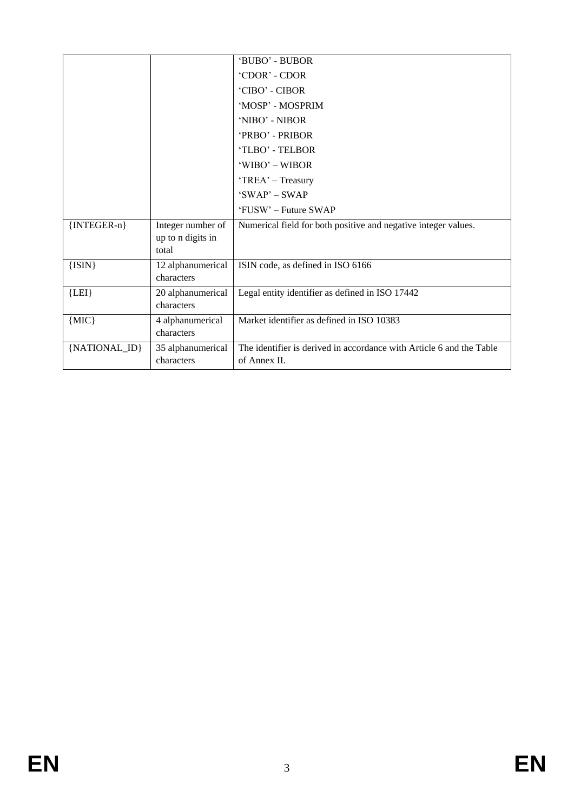|               |                   | 'BUBO' - BUBOR                                                       |
|---------------|-------------------|----------------------------------------------------------------------|
|               |                   | 'CDOR' - CDOR                                                        |
|               |                   | 'CIBO' - CIBOR                                                       |
|               |                   | 'MOSP' - MOSPRIM                                                     |
|               |                   | 'NIBO' - NIBOR                                                       |
|               |                   | 'PRBO' - PRIBOR                                                      |
|               |                   | 'TLBO' - TELBOR                                                      |
|               |                   | 'WIBO' – WIBOR                                                       |
|               |                   | 'TREA' - Treasury                                                    |
|               |                   | $'SWAP' - SWAP$                                                      |
|               |                   | 'FUSW' – Future SWAP                                                 |
| $\{INTER-n\}$ | Integer number of | Numerical field for both positive and negative integer values.       |
|               | up to n digits in |                                                                      |
|               | total             |                                                                      |
| ${ISIN}$      | 12 alphanumerical | ISIN code, as defined in ISO 6166                                    |
|               | characters        |                                                                      |
| ${LEI}$       | 20 alphanumerical | Legal entity identifier as defined in ISO 17442                      |
|               | characters        |                                                                      |
| ${MIC}$       | 4 alphanumerical  | Market identifier as defined in ISO 10383                            |
|               | characters        |                                                                      |
| {NATIONAL_ID} | 35 alphanumerical | The identifier is derived in accordance with Article 6 and the Table |
|               | characters        | of Annex II.                                                         |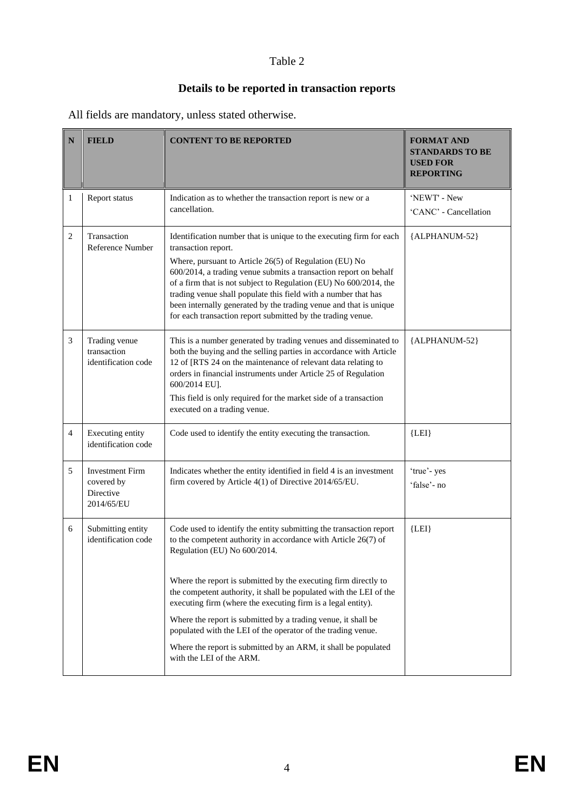### Table 2

#### **Details to be reported in transaction reports**

All fields are mandatory, unless stated otherwise.

| $\mathbf N$  | <b>FIELD</b>                                                    | <b>CONTENT TO BE REPORTED</b>                                                                                                                                                                                                                                                                                                                                                                                                                                                                       | <b>FORMAT AND</b><br><b>STANDARDS TO BE</b><br><b>USED FOR</b><br><b>REPORTING</b> |
|--------------|-----------------------------------------------------------------|-----------------------------------------------------------------------------------------------------------------------------------------------------------------------------------------------------------------------------------------------------------------------------------------------------------------------------------------------------------------------------------------------------------------------------------------------------------------------------------------------------|------------------------------------------------------------------------------------|
| $\mathbf{1}$ | Report status                                                   | Indication as to whether the transaction report is new or a<br>cancellation.                                                                                                                                                                                                                                                                                                                                                                                                                        | 'NEWT' - New<br>'CANC' - Cancellation                                              |
| 2            | Transaction<br>Reference Number                                 | Identification number that is unique to the executing firm for each<br>transaction report.<br>Where, pursuant to Article 26(5) of Regulation (EU) No<br>600/2014, a trading venue submits a transaction report on behalf<br>of a firm that is not subject to Regulation (EU) No 600/2014, the<br>trading venue shall populate this field with a number that has<br>been internally generated by the trading venue and that is unique<br>for each transaction report submitted by the trading venue. | {ALPHANUM-52}                                                                      |
| 3            | Trading venue<br>transaction<br>identification code             | This is a number generated by trading venues and disseminated to<br>both the buying and the selling parties in accordance with Article<br>12 of [RTS 24 on the maintenance of relevant data relating to<br>orders in financial instruments under Article 25 of Regulation<br>600/2014 EU].<br>This field is only required for the market side of a transaction<br>executed on a trading venue.                                                                                                      | {ALPHANUM-52}                                                                      |
| 4            | Executing entity<br>identification code                         | Code used to identify the entity executing the transaction.                                                                                                                                                                                                                                                                                                                                                                                                                                         | ${LEI}$                                                                            |
| 5            | <b>Investment Firm</b><br>covered by<br>Directive<br>2014/65/EU | Indicates whether the entity identified in field 4 is an investment<br>firm covered by Article 4(1) of Directive 2014/65/EU.                                                                                                                                                                                                                                                                                                                                                                        | 'true'-yes<br>'false'- no                                                          |
| 6            | Submitting entity<br>identification code                        | Code used to identify the entity submitting the transaction report<br>to the competent authority in accordance with Article 26(7) of<br>Regulation (EU) No 600/2014.                                                                                                                                                                                                                                                                                                                                | ${LEI}$                                                                            |
|              |                                                                 | Where the report is submitted by the executing firm directly to<br>the competent authority, it shall be populated with the LEI of the<br>executing firm (where the executing firm is a legal entity).<br>Where the report is submitted by a trading venue, it shall be                                                                                                                                                                                                                              |                                                                                    |
|              |                                                                 | populated with the LEI of the operator of the trading venue.<br>Where the report is submitted by an ARM, it shall be populated<br>with the LEI of the ARM.                                                                                                                                                                                                                                                                                                                                          |                                                                                    |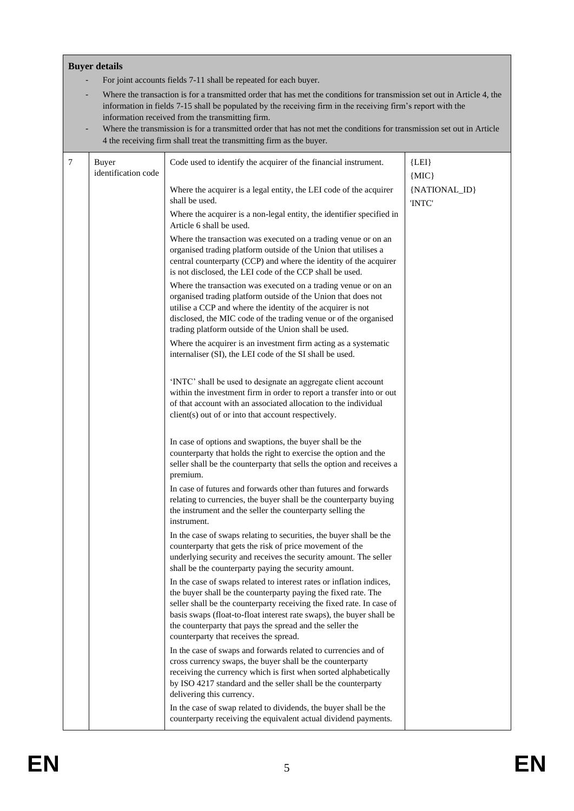#### **Buyer details**

- For joint accounts fields 7-11 shall be repeated for each buyer.
- Where the transaction is for a transmitted order that has met the conditions for transmission set out in Article 4, the information in fields 7-15 shall be populated by the receiving firm in the receiving firm's report with the information received from the transmitting firm.
- Where the transmission is for a transmitted order that has not met the conditions for transmission set out in Article 4 the receiving firm shall treat the transmitting firm as the buyer.

| 7 | Buyer               | Code used to identify the acquirer of the financial instrument.                                                                                                                                                                                                                                                                                                                               | ${LEI}$       |
|---|---------------------|-----------------------------------------------------------------------------------------------------------------------------------------------------------------------------------------------------------------------------------------------------------------------------------------------------------------------------------------------------------------------------------------------|---------------|
|   | identification code |                                                                                                                                                                                                                                                                                                                                                                                               | ${MIC}$       |
|   |                     | Where the acquirer is a legal entity, the LEI code of the acquirer                                                                                                                                                                                                                                                                                                                            | {NATIONAL_ID} |
|   |                     | shall be used.                                                                                                                                                                                                                                                                                                                                                                                | 'INTC'        |
|   |                     | Where the acquirer is a non-legal entity, the identifier specified in<br>Article 6 shall be used.                                                                                                                                                                                                                                                                                             |               |
|   |                     | Where the transaction was executed on a trading venue or on an<br>organised trading platform outside of the Union that utilises a<br>central counterparty (CCP) and where the identity of the acquirer<br>is not disclosed, the LEI code of the CCP shall be used.                                                                                                                            |               |
|   |                     | Where the transaction was executed on a trading venue or on an<br>organised trading platform outside of the Union that does not<br>utilise a CCP and where the identity of the acquirer is not<br>disclosed, the MIC code of the trading venue or of the organised<br>trading platform outside of the Union shall be used.                                                                    |               |
|   |                     | Where the acquirer is an investment firm acting as a systematic<br>internaliser (SI), the LEI code of the SI shall be used.                                                                                                                                                                                                                                                                   |               |
|   |                     | 'INTC' shall be used to designate an aggregate client account<br>within the investment firm in order to report a transfer into or out<br>of that account with an associated allocation to the individual<br>client(s) out of or into that account respectively.                                                                                                                               |               |
|   |                     | In case of options and swaptions, the buyer shall be the<br>counterparty that holds the right to exercise the option and the<br>seller shall be the counterparty that sells the option and receives a<br>premium.                                                                                                                                                                             |               |
|   |                     | In case of futures and forwards other than futures and forwards<br>relating to currencies, the buyer shall be the counterparty buying<br>the instrument and the seller the counterparty selling the<br>instrument.                                                                                                                                                                            |               |
|   |                     | In the case of swaps relating to securities, the buyer shall be the<br>counterparty that gets the risk of price movement of the<br>underlying security and receives the security amount. The seller<br>shall be the counterparty paying the security amount.                                                                                                                                  |               |
|   |                     | In the case of swaps related to interest rates or inflation indices,<br>the buyer shall be the counterparty paying the fixed rate. The<br>seller shall be the counterparty receiving the fixed rate. In case of<br>basis swaps (float-to-float interest rate swaps), the buyer shall be<br>the counterparty that pays the spread and the seller the<br>counterparty that receives the spread. |               |
|   |                     | In the case of swaps and forwards related to currencies and of<br>cross currency swaps, the buyer shall be the counterparty<br>receiving the currency which is first when sorted alphabetically<br>by ISO 4217 standard and the seller shall be the counterparty<br>delivering this currency.                                                                                                 |               |
|   |                     | In the case of swap related to dividends, the buyer shall be the<br>counterparty receiving the equivalent actual dividend payments.                                                                                                                                                                                                                                                           |               |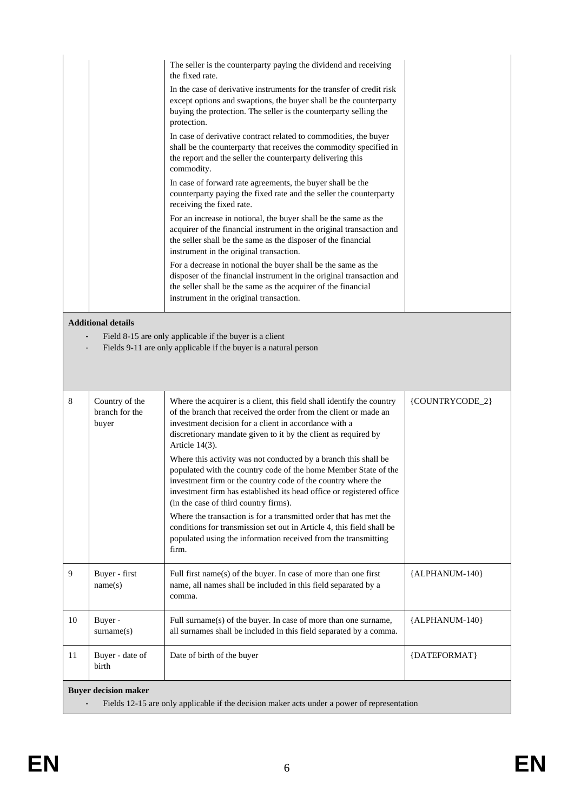|                                                                                                                            |                 | The seller is the counterparty paying the dividend and receiving<br>the fixed rate.<br>In the case of derivative instruments for the transfer of credit risk<br>except options and swaptions, the buyer shall be the counterparty<br>buying the protection. The seller is the counterparty selling the<br>protection.<br>In case of derivative contract related to commodities, the buyer<br>shall be the counterparty that receives the commodity specified in<br>the report and the seller the counterparty delivering this<br>commodity.<br>In case of forward rate agreements, the buyer shall be the<br>counterparty paying the fixed rate and the seller the counterparty<br>receiving the fixed rate.<br>For an increase in notional, the buyer shall be the same as the<br>acquirer of the financial instrument in the original transaction and<br>the seller shall be the same as the disposer of the financial<br>instrument in the original transaction.<br>For a decrease in notional the buyer shall be the same as the<br>disposer of the financial instrument in the original transaction and<br>the seller shall be the same as the acquirer of the financial<br>instrument in the original transaction. |                 |  |
|----------------------------------------------------------------------------------------------------------------------------|-----------------|--------------------------------------------------------------------------------------------------------------------------------------------------------------------------------------------------------------------------------------------------------------------------------------------------------------------------------------------------------------------------------------------------------------------------------------------------------------------------------------------------------------------------------------------------------------------------------------------------------------------------------------------------------------------------------------------------------------------------------------------------------------------------------------------------------------------------------------------------------------------------------------------------------------------------------------------------------------------------------------------------------------------------------------------------------------------------------------------------------------------------------------------------------------------------------------------------------------------------|-----------------|--|
| <b>Additional details</b>                                                                                                  |                 |                                                                                                                                                                                                                                                                                                                                                                                                                                                                                                                                                                                                                                                                                                                                                                                                                                                                                                                                                                                                                                                                                                                                                                                                                          |                 |  |
|                                                                                                                            |                 | Field 8-15 are only applicable if the buyer is a client<br>Fields 9-11 are only applicable if the buyer is a natural person                                                                                                                                                                                                                                                                                                                                                                                                                                                                                                                                                                                                                                                                                                                                                                                                                                                                                                                                                                                                                                                                                              |                 |  |
| Country of the<br>8<br>branch for the<br>buyer                                                                             |                 | Where the acquirer is a client, this field shall identify the country<br>of the branch that received the order from the client or made an<br>investment decision for a client in accordance with a<br>discretionary mandate given to it by the client as required by<br>Article 14(3).<br>Where this activity was not conducted by a branch this shall be<br>populated with the country code of the home Member State of the<br>investment firm or the country code of the country where the<br>investment firm has established its head office or registered office<br>(in the case of third country firms).<br>Where the transaction is for a transmitted order that has met the<br>conditions for transmission set out in Article 4, this field shall be<br>populated using the information received from the transmitting<br>firm.                                                                                                                                                                                                                                                                                                                                                                                   | {COUNTRYCODE_2} |  |
| 9<br>Buyer - first<br>name(s)                                                                                              |                 | Full first name(s) of the buyer. In case of more than one first<br>name, all names shall be included in this field separated by a<br>comma.                                                                                                                                                                                                                                                                                                                                                                                                                                                                                                                                                                                                                                                                                                                                                                                                                                                                                                                                                                                                                                                                              | {ALPHANUM-140}  |  |
| 10<br>Buyer -<br>sumame(s)                                                                                                 |                 | Full surname(s) of the buyer. In case of more than one surname,<br>all surnames shall be included in this field separated by a comma.                                                                                                                                                                                                                                                                                                                                                                                                                                                                                                                                                                                                                                                                                                                                                                                                                                                                                                                                                                                                                                                                                    | {ALPHANUM-140}  |  |
| 11<br>birth                                                                                                                | Buyer - date of | Date of birth of the buyer                                                                                                                                                                                                                                                                                                                                                                                                                                                                                                                                                                                                                                                                                                                                                                                                                                                                                                                                                                                                                                                                                                                                                                                               | {DATEFORMAT}    |  |
| <b>Buyer decision maker</b><br>Fields 12-15 are only applicable if the decision maker acts under a power of representation |                 |                                                                                                                                                                                                                                                                                                                                                                                                                                                                                                                                                                                                                                                                                                                                                                                                                                                                                                                                                                                                                                                                                                                                                                                                                          |                 |  |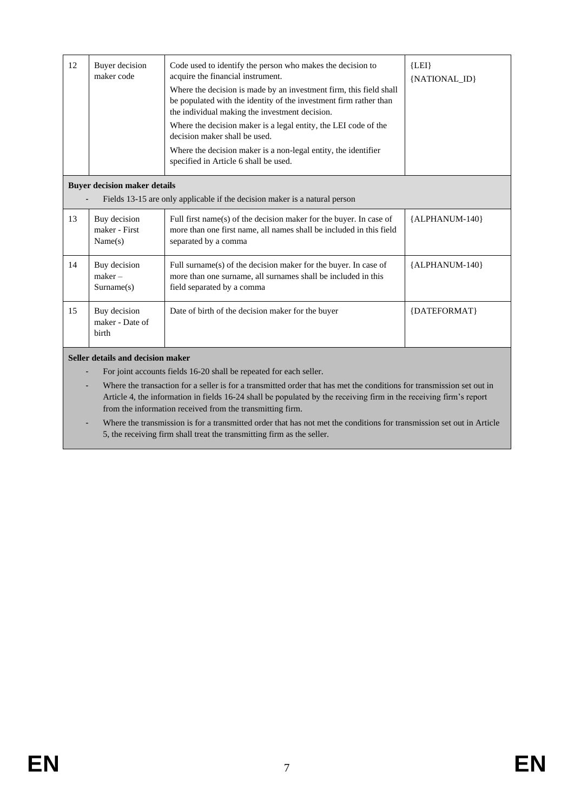| 12                                                                                                      | Buyer decision<br>maker code                                                                                      | Code used to identify the person who makes the decision to<br>acquire the financial instrument.<br>Where the decision is made by an investment firm, this field shall | ${LEI}$<br>{NATIONAL_ID} |  |  |
|---------------------------------------------------------------------------------------------------------|-------------------------------------------------------------------------------------------------------------------|-----------------------------------------------------------------------------------------------------------------------------------------------------------------------|--------------------------|--|--|
|                                                                                                         |                                                                                                                   | be populated with the identity of the investment firm rather than<br>the individual making the investment decision.                                                   |                          |  |  |
|                                                                                                         |                                                                                                                   | Where the decision maker is a legal entity, the LEI code of the<br>decision maker shall be used.                                                                      |                          |  |  |
|                                                                                                         |                                                                                                                   | Where the decision maker is a non-legal entity, the identifier<br>specified in Article 6 shall be used.                                                               |                          |  |  |
|                                                                                                         | <b>Buyer decision maker details</b><br>Fields 13-15 are only applicable if the decision maker is a natural person |                                                                                                                                                                       |                          |  |  |
| 13                                                                                                      | Buy decision<br>maker - First<br>Name(s)                                                                          | Full first name(s) of the decision maker for the buyer. In case of<br>more than one first name, all names shall be included in this field<br>separated by a comma     | ${ALPHANUM-140}$         |  |  |
| 14                                                                                                      | Buy decision<br>$make r -$<br>Surname(s)                                                                          | Full surname $(s)$ of the decision maker for the buyer. In case of<br>more than one surname, all surnames shall be included in this<br>field separated by a comma     | ${ALPHANUM-140}$         |  |  |
| 15                                                                                                      | Buy decision<br>maker - Date of<br>birth                                                                          | Date of birth of the decision maker for the buyer                                                                                                                     | {DATEFORMAT}             |  |  |
| Seller details and decision maker<br>For joint accounts fields 16-20 shall be repeated for each seller. |                                                                                                                   |                                                                                                                                                                       |                          |  |  |

- Where the transaction for a seller is for a transmitted order that has met the conditions for transmission set out in Article 4, the information in fields 16-24 shall be populated by the receiving firm in the receiving firm's report from the information received from the transmitting firm.

- Where the transmission is for a transmitted order that has not met the conditions for transmission set out in Article 5, the receiving firm shall treat the transmitting firm as the seller.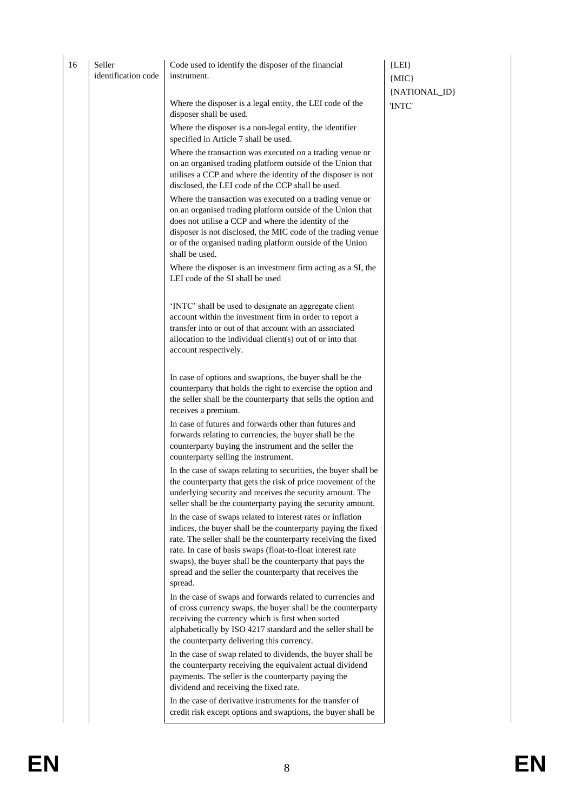| 16 | Seller<br>identification code | Code used to identify the disposer of the financial<br>instrument.                                                                                                                                                                                                                                                        | ${LEI}$<br>${MIC}$ |
|----|-------------------------------|---------------------------------------------------------------------------------------------------------------------------------------------------------------------------------------------------------------------------------------------------------------------------------------------------------------------------|--------------------|
|    |                               |                                                                                                                                                                                                                                                                                                                           | {NATIONAL_ID}      |
|    |                               | Where the disposer is a legal entity, the LEI code of the<br>disposer shall be used.                                                                                                                                                                                                                                      | 'INTC'             |
|    |                               | Where the disposer is a non-legal entity, the identifier<br>specified in Article 7 shall be used.                                                                                                                                                                                                                         |                    |
|    |                               | Where the transaction was executed on a trading venue or<br>on an organised trading platform outside of the Union that<br>utilises a CCP and where the identity of the disposer is not<br>disclosed, the LEI code of the CCP shall be used.                                                                               |                    |
|    |                               | Where the transaction was executed on a trading venue or<br>on an organised trading platform outside of the Union that<br>does not utilise a CCP and where the identity of the                                                                                                                                            |                    |
|    |                               | disposer is not disclosed, the MIC code of the trading venue<br>or of the organised trading platform outside of the Union<br>shall be used.                                                                                                                                                                               |                    |
|    |                               | Where the disposer is an investment firm acting as a SI, the<br>LEI code of the SI shall be used                                                                                                                                                                                                                          |                    |
|    |                               | 'INTC' shall be used to designate an aggregate client<br>account within the investment firm in order to report a<br>transfer into or out of that account with an associated<br>allocation to the individual client(s) out of or into that<br>account respectively.                                                        |                    |
|    |                               | In case of options and swaptions, the buyer shall be the<br>counterparty that holds the right to exercise the option and<br>the seller shall be the counterparty that sells the option and<br>receives a premium.                                                                                                         |                    |
|    |                               | In case of futures and forwards other than futures and<br>forwards relating to currencies, the buyer shall be the<br>counterparty buying the instrument and the seller the<br>counterparty selling the instrument.                                                                                                        |                    |
|    |                               | In the case of swaps relating to securities, the buyer shall be<br>the counterparty that gets the risk of price movement of the<br>underlying security and receives the security amount. The<br>seller shall be the counterparty paying the security amount.                                                              |                    |
|    |                               | In the case of swaps related to interest rates or inflation<br>indices, the buyer shall be the counterparty paying the fixed<br>rate. The seller shall be the counterparty receiving the fixed<br>rate. In case of basis swaps (float-to-float interest rate<br>swaps), the buyer shall be the counterparty that pays the |                    |
|    |                               | spread and the seller the counterparty that receives the<br>spread.                                                                                                                                                                                                                                                       |                    |
|    |                               | In the case of swaps and forwards related to currencies and<br>of cross currency swaps, the buyer shall be the counterparty<br>receiving the currency which is first when sorted<br>alphabetically by ISO 4217 standard and the seller shall be                                                                           |                    |
|    |                               | the counterparty delivering this currency.<br>In the case of swap related to dividends, the buyer shall be<br>the counterparty receiving the equivalent actual dividend<br>payments. The seller is the counterparty paying the<br>dividend and receiving the fixed rate.                                                  |                    |
|    |                               | In the case of derivative instruments for the transfer of<br>credit risk except options and swaptions, the buyer shall be                                                                                                                                                                                                 |                    |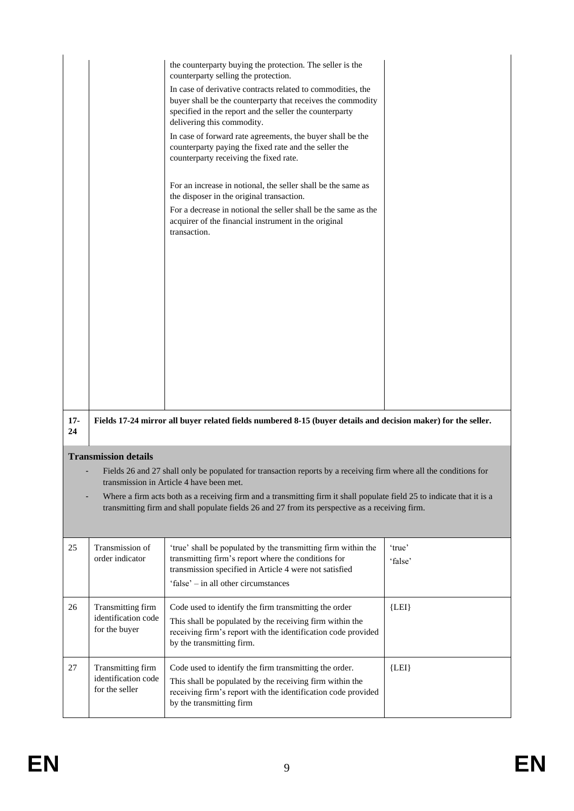|              |                                                                                                                                                                                                                                                                                                                                                                                                                           | the counterparty buying the protection. The seller is the<br>counterparty selling the protection.<br>In case of derivative contracts related to commodities, the<br>buyer shall be the counterparty that receives the commodity<br>specified in the report and the seller the counterparty<br>delivering this commodity.<br>In case of forward rate agreements, the buyer shall be the<br>counterparty paying the fixed rate and the seller the<br>counterparty receiving the fixed rate.<br>For an increase in notional, the seller shall be the same as<br>the disposer in the original transaction.<br>For a decrease in notional the seller shall be the same as the<br>acquirer of the financial instrument in the original<br>transaction. |                   |  |  |
|--------------|---------------------------------------------------------------------------------------------------------------------------------------------------------------------------------------------------------------------------------------------------------------------------------------------------------------------------------------------------------------------------------------------------------------------------|--------------------------------------------------------------------------------------------------------------------------------------------------------------------------------------------------------------------------------------------------------------------------------------------------------------------------------------------------------------------------------------------------------------------------------------------------------------------------------------------------------------------------------------------------------------------------------------------------------------------------------------------------------------------------------------------------------------------------------------------------|-------------------|--|--|
| $17 -$<br>24 |                                                                                                                                                                                                                                                                                                                                                                                                                           | Fields 17-24 mirror all buyer related fields numbered 8-15 (buyer details and decision maker) for the seller.                                                                                                                                                                                                                                                                                                                                                                                                                                                                                                                                                                                                                                    |                   |  |  |
|              | <b>Transmission details</b><br>Fields 26 and 27 shall only be populated for transaction reports by a receiving firm where all the conditions for<br>transmission in Article 4 have been met.<br>Where a firm acts both as a receiving firm and a transmitting firm it shall populate field 25 to indicate that it is a<br>transmitting firm and shall populate fields 26 and 27 from its perspective as a receiving firm. |                                                                                                                                                                                                                                                                                                                                                                                                                                                                                                                                                                                                                                                                                                                                                  |                   |  |  |
| 25           | Transmission of<br>order indicator                                                                                                                                                                                                                                                                                                                                                                                        | 'true' shall be populated by the transmitting firm within the<br>transmitting firm's report where the conditions for<br>transmission specified in Article 4 were not satisfied<br>'false' – in all other circumstances                                                                                                                                                                                                                                                                                                                                                                                                                                                                                                                           | 'true'<br>'false' |  |  |
| 26           | Transmitting firm<br>identification code<br>for the buyer                                                                                                                                                                                                                                                                                                                                                                 | Code used to identify the firm transmitting the order<br>This shall be populated by the receiving firm within the<br>receiving firm's report with the identification code provided<br>by the transmitting firm.                                                                                                                                                                                                                                                                                                                                                                                                                                                                                                                                  | ${LEI}$           |  |  |
| 27           | Transmitting firm<br>identification code<br>for the seller                                                                                                                                                                                                                                                                                                                                                                | Code used to identify the firm transmitting the order.<br>This shall be populated by the receiving firm within the<br>receiving firm's report with the identification code provided<br>by the transmitting firm                                                                                                                                                                                                                                                                                                                                                                                                                                                                                                                                  | ${LEI}$           |  |  |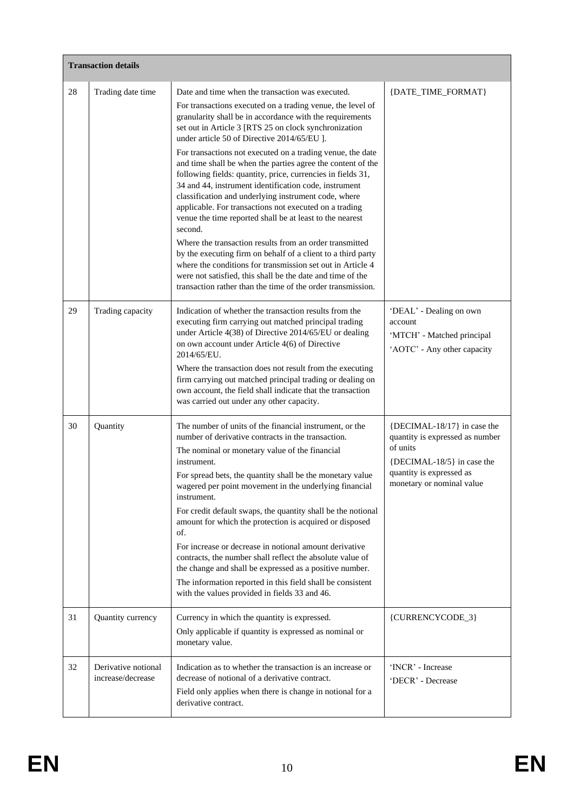|    | <b>Transaction details</b>               |                                                                                                                                                                                                                                                                                                                                                                                                                                                                                                                                                                                                                                                                                                                                                                                                                                                                                                                                                                                                                                                        |                                                                                                                                                                   |  |  |
|----|------------------------------------------|--------------------------------------------------------------------------------------------------------------------------------------------------------------------------------------------------------------------------------------------------------------------------------------------------------------------------------------------------------------------------------------------------------------------------------------------------------------------------------------------------------------------------------------------------------------------------------------------------------------------------------------------------------------------------------------------------------------------------------------------------------------------------------------------------------------------------------------------------------------------------------------------------------------------------------------------------------------------------------------------------------------------------------------------------------|-------------------------------------------------------------------------------------------------------------------------------------------------------------------|--|--|
| 28 | Trading date time                        | Date and time when the transaction was executed.<br>For transactions executed on a trading venue, the level of<br>granularity shall be in accordance with the requirements<br>set out in Article 3 [RTS 25 on clock synchronization<br>under article 50 of Directive 2014/65/EU ].<br>For transactions not executed on a trading venue, the date<br>and time shall be when the parties agree the content of the<br>following fields: quantity, price, currencies in fields 31,<br>34 and 44, instrument identification code, instrument<br>classification and underlying instrument code, where<br>applicable. For transactions not executed on a trading<br>venue the time reported shall be at least to the nearest<br>second.<br>Where the transaction results from an order transmitted<br>by the executing firm on behalf of a client to a third party<br>where the conditions for transmission set out in Article 4<br>were not satisfied, this shall be the date and time of the<br>transaction rather than the time of the order transmission. | {DATE_TIME_FORMAT}                                                                                                                                                |  |  |
| 29 | Trading capacity                         | Indication of whether the transaction results from the<br>executing firm carrying out matched principal trading<br>under Article 4(38) of Directive 2014/65/EU or dealing<br>on own account under Article 4(6) of Directive<br>2014/65/EU.<br>Where the transaction does not result from the executing<br>firm carrying out matched principal trading or dealing on<br>own account, the field shall indicate that the transaction<br>was carried out under any other capacity.                                                                                                                                                                                                                                                                                                                                                                                                                                                                                                                                                                         | 'DEAL' - Dealing on own<br>account<br>'MTCH' - Matched principal<br>'AOTC' - Any other capacity                                                                   |  |  |
| 30 | Quantity                                 | The number of units of the financial instrument, or the<br>number of derivative contracts in the transaction.<br>The nominal or monetary value of the financial<br>instrument.<br>For spread bets, the quantity shall be the monetary value<br>wagered per point movement in the underlying financial<br>instrument.<br>For credit default swaps, the quantity shall be the notional<br>amount for which the protection is acquired or disposed<br>of.<br>For increase or decrease in notional amount derivative<br>contracts, the number shall reflect the absolute value of<br>the change and shall be expressed as a positive number.<br>The information reported in this field shall be consistent<br>with the values provided in fields 33 and 46.                                                                                                                                                                                                                                                                                                | {DECIMAL-18/17} in case the<br>quantity is expressed as number<br>of units<br>{DECIMAL-18/5} in case the<br>quantity is expressed as<br>monetary or nominal value |  |  |
| 31 | Quantity currency                        | Currency in which the quantity is expressed.<br>Only applicable if quantity is expressed as nominal or<br>monetary value.                                                                                                                                                                                                                                                                                                                                                                                                                                                                                                                                                                                                                                                                                                                                                                                                                                                                                                                              | {CURRENCYCODE_3}                                                                                                                                                  |  |  |
| 32 | Derivative notional<br>increase/decrease | Indication as to whether the transaction is an increase or<br>decrease of notional of a derivative contract.<br>Field only applies when there is change in notional for a<br>derivative contract.                                                                                                                                                                                                                                                                                                                                                                                                                                                                                                                                                                                                                                                                                                                                                                                                                                                      | 'INCR' - Increase<br>'DECR' - Decrease                                                                                                                            |  |  |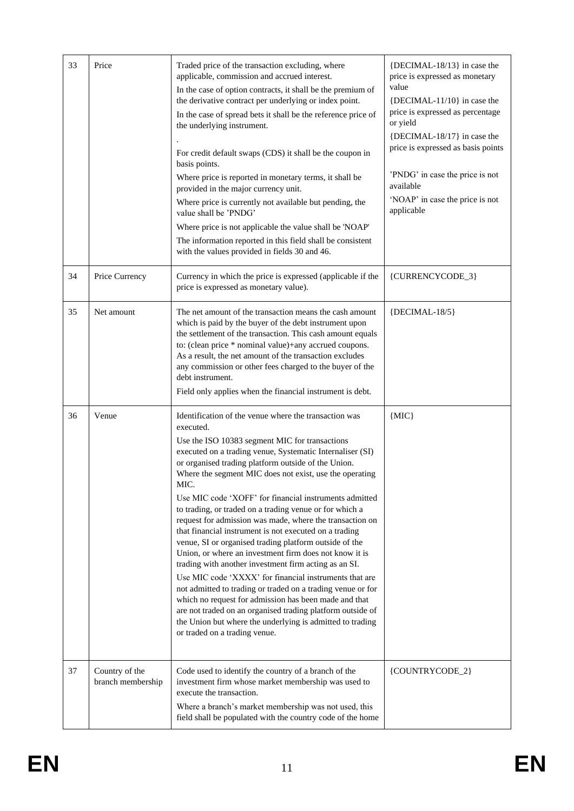| 33 | Price                               | Traded price of the transaction excluding, where<br>applicable, commission and accrued interest.<br>In the case of option contracts, it shall be the premium of<br>the derivative contract per underlying or index point.<br>In the case of spread bets it shall be the reference price of<br>the underlying instrument.<br>For credit default swaps (CDS) it shall be the coupon in<br>basis points.<br>Where price is reported in monetary terms, it shall be<br>provided in the major currency unit.<br>Where price is currently not available but pending, the<br>value shall be 'PNDG'<br>Where price is not applicable the value shall be 'NOAP'<br>The information reported in this field shall be consistent<br>with the values provided in fields 30 and 46.                                                                                                                                                                                                                                                                                                             | {DECIMAL-18/13} in case the<br>price is expressed as monetary<br>value<br>{DECIMAL-11/10} in case the<br>price is expressed as percentage<br>or yield<br>{DECIMAL-18/17} in case the<br>price is expressed as basis points<br>'PNDG' in case the price is not<br>available<br>'NOAP' in case the price is not<br>applicable |
|----|-------------------------------------|-----------------------------------------------------------------------------------------------------------------------------------------------------------------------------------------------------------------------------------------------------------------------------------------------------------------------------------------------------------------------------------------------------------------------------------------------------------------------------------------------------------------------------------------------------------------------------------------------------------------------------------------------------------------------------------------------------------------------------------------------------------------------------------------------------------------------------------------------------------------------------------------------------------------------------------------------------------------------------------------------------------------------------------------------------------------------------------|-----------------------------------------------------------------------------------------------------------------------------------------------------------------------------------------------------------------------------------------------------------------------------------------------------------------------------|
| 34 | Price Currency                      | Currency in which the price is expressed (applicable if the<br>price is expressed as monetary value).                                                                                                                                                                                                                                                                                                                                                                                                                                                                                                                                                                                                                                                                                                                                                                                                                                                                                                                                                                             | {CURRENCYCODE_3}                                                                                                                                                                                                                                                                                                            |
| 35 | Net amount                          | The net amount of the transaction means the cash amount<br>which is paid by the buyer of the debt instrument upon<br>the settlement of the transaction. This cash amount equals<br>to: (clean price * nominal value)+any accrued coupons.<br>As a result, the net amount of the transaction excludes<br>any commission or other fees charged to the buyer of the<br>debt instrument.<br>Field only applies when the financial instrument is debt.                                                                                                                                                                                                                                                                                                                                                                                                                                                                                                                                                                                                                                 | $\{DECIMAL-18/5\}$                                                                                                                                                                                                                                                                                                          |
| 36 | Venue                               | Identification of the venue where the transaction was<br>executed.<br>Use the ISO 10383 segment MIC for transactions<br>executed on a trading venue, Systematic Internaliser (SI)<br>or organised trading platform outside of the Union.<br>Where the segment MIC does not exist, use the operating<br>MIC.<br>Use MIC code 'XOFF' for financial instruments admitted<br>to trading, or traded on a trading venue or for which a<br>request for admission was made, where the transaction on<br>that financial instrument is not executed on a trading<br>venue, SI or organised trading platform outside of the<br>Union, or where an investment firm does not know it is<br>trading with another investment firm acting as an SI.<br>Use MIC code 'XXXX' for financial instruments that are<br>not admitted to trading or traded on a trading venue or for<br>which no request for admission has been made and that<br>are not traded on an organised trading platform outside of<br>the Union but where the underlying is admitted to trading<br>or traded on a trading venue. | ${MIC}$                                                                                                                                                                                                                                                                                                                     |
| 37 | Country of the<br>branch membership | Code used to identify the country of a branch of the<br>investment firm whose market membership was used to<br>execute the transaction.<br>Where a branch's market membership was not used, this<br>field shall be populated with the country code of the home                                                                                                                                                                                                                                                                                                                                                                                                                                                                                                                                                                                                                                                                                                                                                                                                                    | {COUNTRYCODE_2}                                                                                                                                                                                                                                                                                                             |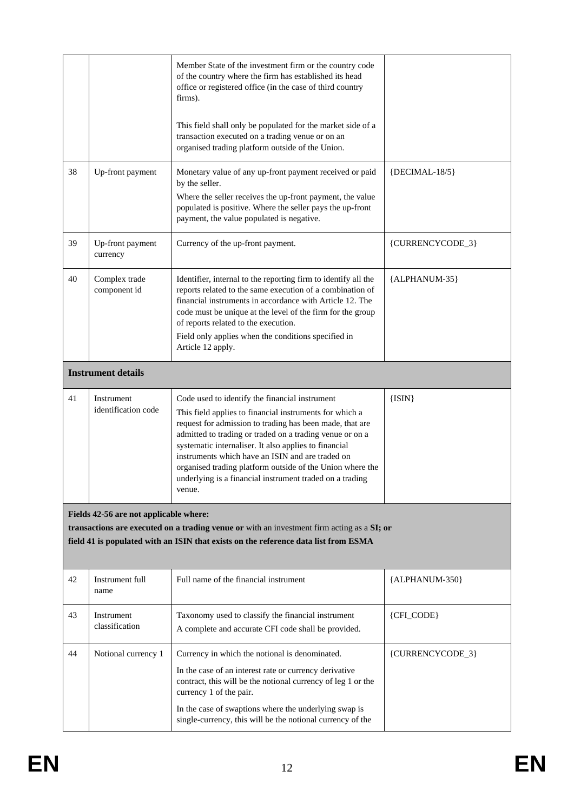|    |                                        | Member State of the investment firm or the country code<br>of the country where the firm has established its head<br>office or registered office (in the case of third country<br>firms).<br>This field shall only be populated for the market side of a                                                                                                                                                                                                                          |                    |
|----|----------------------------------------|-----------------------------------------------------------------------------------------------------------------------------------------------------------------------------------------------------------------------------------------------------------------------------------------------------------------------------------------------------------------------------------------------------------------------------------------------------------------------------------|--------------------|
|    |                                        | transaction executed on a trading venue or on an<br>organised trading platform outside of the Union.                                                                                                                                                                                                                                                                                                                                                                              |                    |
| 38 | Up-front payment                       | Monetary value of any up-front payment received or paid<br>by the seller.<br>Where the seller receives the up-front payment, the value<br>populated is positive. Where the seller pays the up-front<br>payment, the value populated is negative.                                                                                                                                                                                                                                  | $\{DECIMAL-18/5\}$ |
| 39 | Up-front payment<br>currency           | Currency of the up-front payment.                                                                                                                                                                                                                                                                                                                                                                                                                                                 | {CURRENCYCODE_3}   |
| 40 | Complex trade<br>component id          | Identifier, internal to the reporting firm to identify all the<br>reports related to the same execution of a combination of<br>financial instruments in accordance with Article 12. The<br>code must be unique at the level of the firm for the group<br>of reports related to the execution.                                                                                                                                                                                     | {ALPHANUM-35}      |
|    |                                        | Field only applies when the conditions specified in<br>Article 12 apply.                                                                                                                                                                                                                                                                                                                                                                                                          |                    |
|    | <b>Instrument details</b>              |                                                                                                                                                                                                                                                                                                                                                                                                                                                                                   |                    |
| 41 | Instrument<br>identification code      | Code used to identify the financial instrument<br>This field applies to financial instruments for which a<br>request for admission to trading has been made, that are<br>admitted to trading or traded on a trading venue or on a<br>systematic internaliser. It also applies to financial<br>instruments which have an ISIN and are traded on<br>organised trading platform outside of the Union where the<br>underlying is a financial instrument traded on a trading<br>venue. | ${ISIN}$           |
|    | Fields 42-56 are not applicable where: | transactions are executed on a trading venue or with an investment firm acting as a SI; or                                                                                                                                                                                                                                                                                                                                                                                        |                    |
|    |                                        | field 41 is populated with an ISIN that exists on the reference data list from ESMA                                                                                                                                                                                                                                                                                                                                                                                               |                    |
| 42 | Instrument full<br>name                | Full name of the financial instrument                                                                                                                                                                                                                                                                                                                                                                                                                                             | {ALPHANUM-350}     |
| 43 | Instrument<br>classification           | Taxonomy used to classify the financial instrument<br>A complete and accurate CFI code shall be provided.                                                                                                                                                                                                                                                                                                                                                                         | ${CFI\_CODE}$      |
| 44 | Notional currency 1                    | Currency in which the notional is denominated.<br>In the case of an interest rate or currency derivative<br>contract, this will be the notional currency of leg 1 or the<br>currency 1 of the pair.<br>In the case of swaptions where the underlying swap is<br>single-currency, this will be the notional currency of the                                                                                                                                                        | {CURRENCYCODE_3}   |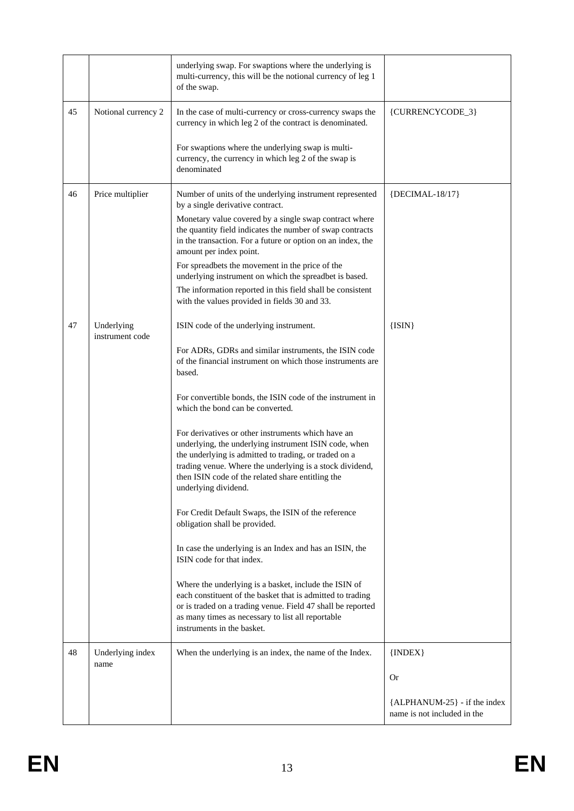|    |                               | underlying swap. For swaptions where the underlying is<br>multi-currency, this will be the notional currency of leg 1<br>of the swap.                                                                                                                                                                         |                                                             |
|----|-------------------------------|---------------------------------------------------------------------------------------------------------------------------------------------------------------------------------------------------------------------------------------------------------------------------------------------------------------|-------------------------------------------------------------|
| 45 | Notional currency 2           | In the case of multi-currency or cross-currency swaps the<br>currency in which leg 2 of the contract is denominated.                                                                                                                                                                                          | {CURRENCYCODE_3}                                            |
|    |                               | For swaptions where the underlying swap is multi-<br>currency, the currency in which leg 2 of the swap is<br>denominated                                                                                                                                                                                      |                                                             |
| 46 | Price multiplier              | Number of units of the underlying instrument represented<br>by a single derivative contract.                                                                                                                                                                                                                  | {DECIMAL-18/17}                                             |
|    |                               | Monetary value covered by a single swap contract where<br>the quantity field indicates the number of swap contracts<br>in the transaction. For a future or option on an index, the<br>amount per index point.                                                                                                 |                                                             |
|    |                               | For spreadbets the movement in the price of the<br>underlying instrument on which the spreadbet is based.                                                                                                                                                                                                     |                                                             |
|    |                               | The information reported in this field shall be consistent<br>with the values provided in fields 30 and 33.                                                                                                                                                                                                   |                                                             |
| 47 | Underlying<br>instrument code | ISIN code of the underlying instrument.                                                                                                                                                                                                                                                                       | ${ISIN}$                                                    |
|    |                               | For ADRs, GDRs and similar instruments, the ISIN code<br>of the financial instrument on which those instruments are<br>based.                                                                                                                                                                                 |                                                             |
|    |                               | For convertible bonds, the ISIN code of the instrument in<br>which the bond can be converted.                                                                                                                                                                                                                 |                                                             |
|    |                               | For derivatives or other instruments which have an<br>underlying, the underlying instrument ISIN code, when<br>the underlying is admitted to trading, or traded on a<br>trading venue. Where the underlying is a stock dividend,<br>then ISIN code of the related share entitling the<br>underlying dividend. |                                                             |
|    |                               | For Credit Default Swaps, the ISIN of the reference<br>obligation shall be provided.                                                                                                                                                                                                                          |                                                             |
|    |                               | In case the underlying is an Index and has an ISIN, the<br>ISIN code for that index.                                                                                                                                                                                                                          |                                                             |
|    |                               | Where the underlying is a basket, include the ISIN of<br>each constituent of the basket that is admitted to trading<br>or is traded on a trading venue. Field 47 shall be reported<br>as many times as necessary to list all reportable<br>instruments in the basket.                                         |                                                             |
| 48 | Underlying index<br>name      | When the underlying is an index, the name of the Index.                                                                                                                                                                                                                                                       | ${INDEX}$                                                   |
|    |                               |                                                                                                                                                                                                                                                                                                               | <b>Or</b>                                                   |
|    |                               |                                                                                                                                                                                                                                                                                                               | {ALPHANUM-25} - if the index<br>name is not included in the |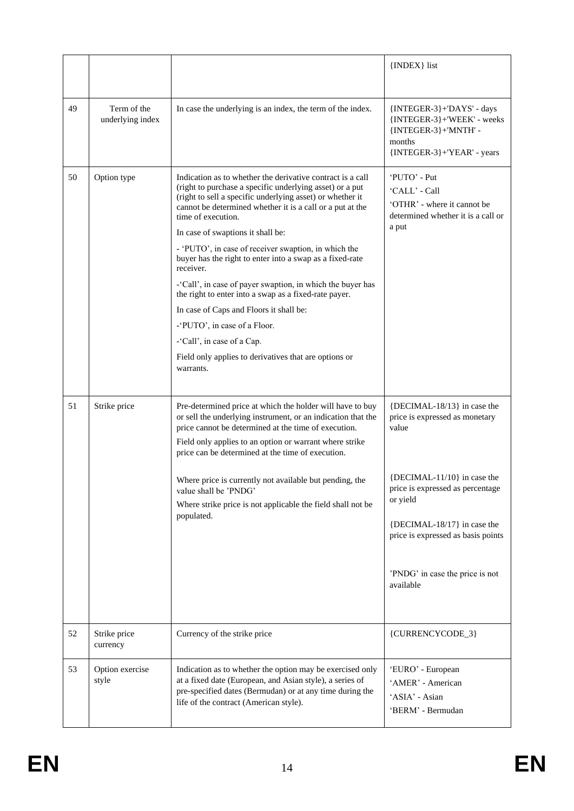|    |                                 |                                                                                                                                                                                                                                                                                                                                                                                                                                                                                                                                                                                                                                                                                                                                                    | {INDEX} list                                                                                                                                                                                                                                                                   |
|----|---------------------------------|----------------------------------------------------------------------------------------------------------------------------------------------------------------------------------------------------------------------------------------------------------------------------------------------------------------------------------------------------------------------------------------------------------------------------------------------------------------------------------------------------------------------------------------------------------------------------------------------------------------------------------------------------------------------------------------------------------------------------------------------------|--------------------------------------------------------------------------------------------------------------------------------------------------------------------------------------------------------------------------------------------------------------------------------|
| 49 | Term of the<br>underlying index | In case the underlying is an index, the term of the index.                                                                                                                                                                                                                                                                                                                                                                                                                                                                                                                                                                                                                                                                                         | {INTEGER-3}+'DAYS' - days<br>{INTEGER-3}+'WEEK' - weeks<br>${INTEGR-3}+'MNTH' -$<br>months<br>{INTEGER-3}+'YEAR' - years                                                                                                                                                       |
| 50 | Option type                     | Indication as to whether the derivative contract is a call<br>(right to purchase a specific underlying asset) or a put<br>(right to sell a specific underlying asset) or whether it<br>cannot be determined whether it is a call or a put at the<br>time of execution.<br>In case of swaptions it shall be:<br>- 'PUTO', in case of receiver swaption, in which the<br>buyer has the right to enter into a swap as a fixed-rate<br>receiver.<br>-'Call', in case of payer swaption, in which the buyer has<br>the right to enter into a swap as a fixed-rate payer.<br>In case of Caps and Floors it shall be:<br>-'PUTO', in case of a Floor.<br>-'Call', in case of a Cap.<br>Field only applies to derivatives that are options or<br>warrants. | 'PUTO' - Put<br>'CALL' - Call<br>'OTHR' - where it cannot be<br>determined whether it is a call or<br>a put                                                                                                                                                                    |
| 51 | Strike price                    | Pre-determined price at which the holder will have to buy<br>or sell the underlying instrument, or an indication that the<br>price cannot be determined at the time of execution.<br>Field only applies to an option or warrant where strike<br>price can be determined at the time of execution.<br>Where price is currently not available but pending, the<br>value shall be 'PNDG'<br>Where strike price is not applicable the field shall not be<br>populated.                                                                                                                                                                                                                                                                                 | {DECIMAL-18/13} in case the<br>price is expressed as monetary<br>value<br>$\{DECIMAL-11/10\}$ in case the<br>price is expressed as percentage<br>or yield<br>{DECIMAL-18/17} in case the<br>price is expressed as basis points<br>'PNDG' in case the price is not<br>available |
| 52 | Strike price<br>currency        | Currency of the strike price                                                                                                                                                                                                                                                                                                                                                                                                                                                                                                                                                                                                                                                                                                                       | {CURRENCYCODE_3}                                                                                                                                                                                                                                                               |
| 53 | Option exercise<br>style        | Indication as to whether the option may be exercised only<br>at a fixed date (European, and Asian style), a series of<br>pre-specified dates (Bermudan) or at any time during the<br>life of the contract (American style).                                                                                                                                                                                                                                                                                                                                                                                                                                                                                                                        | 'EURO' - European<br>'AMER' - American<br>'ASIA' - Asian<br>'BERM' - Bermudan                                                                                                                                                                                                  |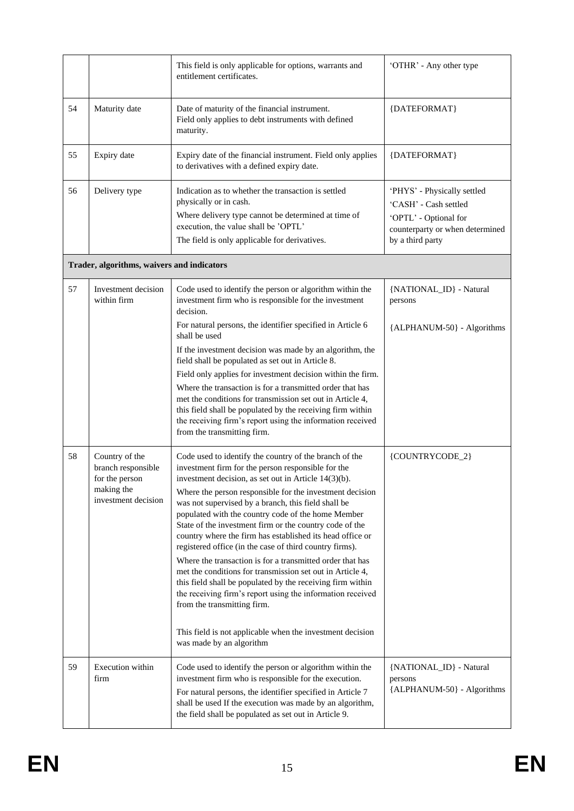|    |                                                                                             | This field is only applicable for options, warrants and<br>entitlement certificates.                                                                                                                                                                                                                                                                                                                                                                                                                                                                                                                                                                                                                                                                                                                                                                                                                           | 'OTHR' - Any other type                                                                                                              |
|----|---------------------------------------------------------------------------------------------|----------------------------------------------------------------------------------------------------------------------------------------------------------------------------------------------------------------------------------------------------------------------------------------------------------------------------------------------------------------------------------------------------------------------------------------------------------------------------------------------------------------------------------------------------------------------------------------------------------------------------------------------------------------------------------------------------------------------------------------------------------------------------------------------------------------------------------------------------------------------------------------------------------------|--------------------------------------------------------------------------------------------------------------------------------------|
| 54 | Maturity date                                                                               | Date of maturity of the financial instrument.<br>Field only applies to debt instruments with defined<br>maturity.                                                                                                                                                                                                                                                                                                                                                                                                                                                                                                                                                                                                                                                                                                                                                                                              | {DATEFORMAT}                                                                                                                         |
| 55 | Expiry date                                                                                 | Expiry date of the financial instrument. Field only applies<br>to derivatives with a defined expiry date.                                                                                                                                                                                                                                                                                                                                                                                                                                                                                                                                                                                                                                                                                                                                                                                                      | {DATEFORMAT}                                                                                                                         |
| 56 | Delivery type                                                                               | Indication as to whether the transaction is settled<br>physically or in cash.<br>Where delivery type cannot be determined at time of<br>execution, the value shall be 'OPTL'<br>The field is only applicable for derivatives.                                                                                                                                                                                                                                                                                                                                                                                                                                                                                                                                                                                                                                                                                  | 'PHYS' - Physically settled<br>'CASH' - Cash settled<br>'OPTL' - Optional for<br>counterparty or when determined<br>by a third party |
|    | Trader, algorithms, waivers and indicators                                                  |                                                                                                                                                                                                                                                                                                                                                                                                                                                                                                                                                                                                                                                                                                                                                                                                                                                                                                                |                                                                                                                                      |
| 57 | Investment decision<br>within firm                                                          | Code used to identify the person or algorithm within the<br>investment firm who is responsible for the investment<br>decision.                                                                                                                                                                                                                                                                                                                                                                                                                                                                                                                                                                                                                                                                                                                                                                                 | {NATIONAL_ID} - Natural<br>persons                                                                                                   |
|    |                                                                                             | For natural persons, the identifier specified in Article 6<br>shall be used                                                                                                                                                                                                                                                                                                                                                                                                                                                                                                                                                                                                                                                                                                                                                                                                                                    | {ALPHANUM-50} - Algorithms                                                                                                           |
|    |                                                                                             | If the investment decision was made by an algorithm, the<br>field shall be populated as set out in Article 8.                                                                                                                                                                                                                                                                                                                                                                                                                                                                                                                                                                                                                                                                                                                                                                                                  |                                                                                                                                      |
|    |                                                                                             | Field only applies for investment decision within the firm.<br>Where the transaction is for a transmitted order that has<br>met the conditions for transmission set out in Article 4,<br>this field shall be populated by the receiving firm within<br>the receiving firm's report using the information received<br>from the transmitting firm.                                                                                                                                                                                                                                                                                                                                                                                                                                                                                                                                                               |                                                                                                                                      |
| 58 | Country of the<br>branch responsible<br>for the person<br>making the<br>investment decision | Code used to identify the country of the branch of the<br>investment firm for the person responsible for the<br>investment decision, as set out in Article 14(3)(b).<br>Where the person responsible for the investment decision<br>was not supervised by a branch, this field shall be<br>populated with the country code of the home Member<br>State of the investment firm or the country code of the<br>country where the firm has established its head office or<br>registered office (in the case of third country firms).<br>Where the transaction is for a transmitted order that has<br>met the conditions for transmission set out in Article 4,<br>this field shall be populated by the receiving firm within<br>the receiving firm's report using the information received<br>from the transmitting firm.<br>This field is not applicable when the investment decision<br>was made by an algorithm | {COUNTRYCODE_2}                                                                                                                      |
| 59 | Execution within<br>firm                                                                    | Code used to identify the person or algorithm within the<br>investment firm who is responsible for the execution.<br>For natural persons, the identifier specified in Article 7<br>shall be used If the execution was made by an algorithm,<br>the field shall be populated as set out in Article 9.                                                                                                                                                                                                                                                                                                                                                                                                                                                                                                                                                                                                           | {NATIONAL_ID} - Natural<br>persons<br>{ALPHANUM-50} - Algorithms                                                                     |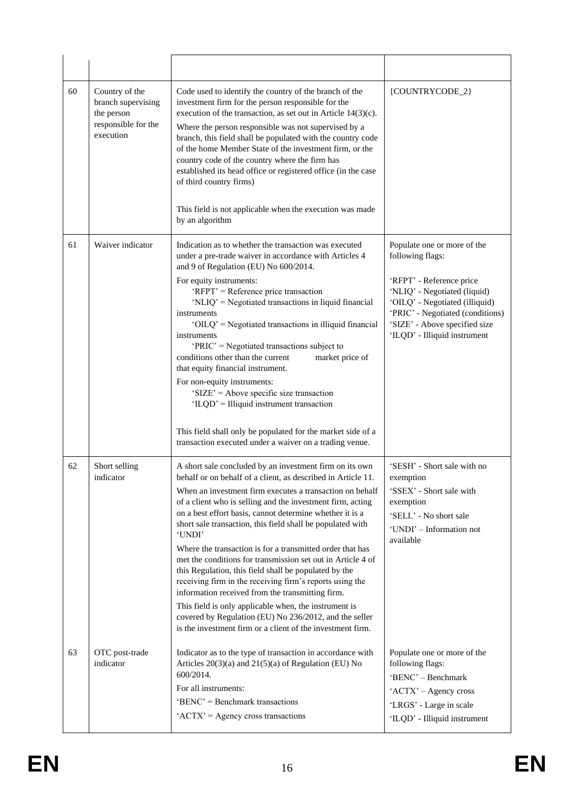| 60 | Country of the<br>branch supervising<br>the person<br>responsible for the<br>execution | Code used to identify the country of the branch of the<br>investment firm for the person responsible for the<br>execution of the transaction, as set out in Article $14(3)(c)$ .<br>Where the person responsible was not supervised by a<br>branch, this field shall be populated with the country code<br>of the home Member State of the investment firm, or the<br>country code of the country where the firm has<br>established its head office or registered office (in the case<br>of third country firms)<br>This field is not applicable when the execution was made<br>by an algorithm                                                                                                                                                                                                                                                                             | {COUNTRYCODE_2}                                                                                                                                                                                                                                    |
|----|----------------------------------------------------------------------------------------|-----------------------------------------------------------------------------------------------------------------------------------------------------------------------------------------------------------------------------------------------------------------------------------------------------------------------------------------------------------------------------------------------------------------------------------------------------------------------------------------------------------------------------------------------------------------------------------------------------------------------------------------------------------------------------------------------------------------------------------------------------------------------------------------------------------------------------------------------------------------------------|----------------------------------------------------------------------------------------------------------------------------------------------------------------------------------------------------------------------------------------------------|
| 61 | Waiver indicator                                                                       | Indication as to whether the transaction was executed<br>under a pre-trade waiver in accordance with Articles 4<br>and 9 of Regulation (EU) No 600/2014.<br>For equity instruments:<br>'RFPT' = Reference price transaction<br>'NLIQ' = Negotiated transactions in liquid financial<br>instruments<br>$'OLQ' = Negotiated transactions in illiquid financial$<br>instruments<br>$'PRIC' = Negotiated transactions subject to$<br>conditions other than the current<br>market price of<br>that equity financial instrument.<br>For non-equity instruments:<br>$SIZE' = Above specific size transaction$<br>'ILQD' = Illiquid instrument transaction<br>This field shall only be populated for the market side of a<br>transaction executed under a waiver on a trading venue.                                                                                                | Populate one or more of the<br>following flags:<br>'RFPT' - Reference price<br>'NLIQ' - Negotiated (liquid)<br>'OILQ' - Negotiated (illiquid)<br>'PRIC' - Negotiated (conditions)<br>'SIZE' - Above specified size<br>'ILQD' - Illiquid instrument |
| 62 | Short selling<br>indicator                                                             | A short sale concluded by an investment firm on its own<br>behalf or on behalf of a client, as described in Article 11.<br>When an investment firm executes a transaction on behalf<br>of a client who is selling and the investment firm, acting<br>on a best effort basis, cannot determine whether it is a<br>short sale transaction, this field shall be populated with<br>'UNDI'<br>Where the transaction is for a transmitted order that has<br>met the conditions for transmission set out in Article 4 of<br>this Regulation, this field shall be populated by the<br>receiving firm in the receiving firm's reports using the<br>information received from the transmitting firm.<br>This field is only applicable when, the instrument is<br>covered by Regulation (EU) No 236/2012, and the seller<br>is the investment firm or a client of the investment firm. | 'SESH' - Short sale with no<br>exemption<br>'SSEX' - Short sale with<br>exemption<br>'SELL' - No short sale<br>'UNDI' - Information not<br>available                                                                                               |
| 63 | OTC post-trade<br>indicator                                                            | Indicator as to the type of transaction in accordance with<br>Articles $20(3)(a)$ and $21(5)(a)$ of Regulation (EU) No<br>600/2014.<br>For all instruments:<br>$'BENC' = \text{Benchmark}$ transactions<br>$ACTX' = Agency cross transactions$                                                                                                                                                                                                                                                                                                                                                                                                                                                                                                                                                                                                                              | Populate one or more of the<br>following flags:<br>'BENC' - Benchmark<br>'ACTX' - Agency cross<br>'LRGS' - Large in scale<br>'ILQD' - Illiquid instrument                                                                                          |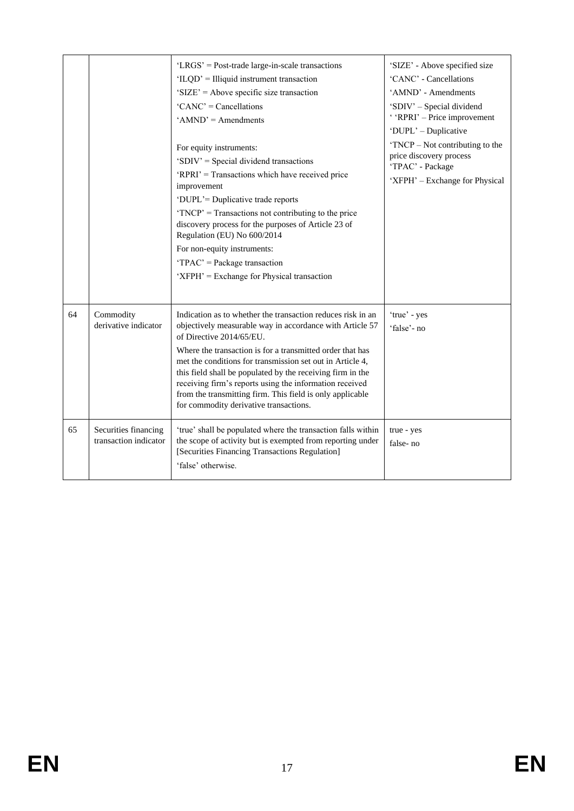|    |                                               | 'LRGS' = Post-trade large-in-scale transactions<br>$'ILOD' = III$ iquid instrument transaction<br>$\text{SIZE'} = \text{Above specific size transaction}$<br>$'CANC' = Cancellations$<br>$'AMND' = A$ mendments<br>For equity instruments:<br>'SDIV' = Special dividend transactions<br>'RPRI' = Transactions which have received price<br>improvement<br>'DUPL'= Duplicative trade reports<br>$'TNCP'$ = Transactions not contributing to the price<br>discovery process for the purposes of Article 23 of<br>Regulation (EU) No 600/2014<br>For non-equity instruments:<br>$'TPAC' = Package$ transaction<br>'XFPH' = Exchange for Physical transaction | 'SIZE' - Above specified size<br>'CANC' - Cancellations<br>'AMND' - Amendments<br>'SDIV' - Special dividend<br>' 'RPRI' - Price improvement<br>'DUPL' - Duplicative<br>'TNCP – Not contributing to the<br>price discovery process<br>'TPAC' - Package<br>'XFPH' - Exchange for Physical |
|----|-----------------------------------------------|-----------------------------------------------------------------------------------------------------------------------------------------------------------------------------------------------------------------------------------------------------------------------------------------------------------------------------------------------------------------------------------------------------------------------------------------------------------------------------------------------------------------------------------------------------------------------------------------------------------------------------------------------------------|-----------------------------------------------------------------------------------------------------------------------------------------------------------------------------------------------------------------------------------------------------------------------------------------|
| 64 | Commodity<br>derivative indicator             | Indication as to whether the transaction reduces risk in an<br>objectively measurable way in accordance with Article 57<br>of Directive 2014/65/EU.<br>Where the transaction is for a transmitted order that has<br>met the conditions for transmission set out in Article 4,<br>this field shall be populated by the receiving firm in the<br>receiving firm's reports using the information received<br>from the transmitting firm. This field is only applicable<br>for commodity derivative transactions.                                                                                                                                             | 'true' - yes<br>'false'- no                                                                                                                                                                                                                                                             |
| 65 | Securities financing<br>transaction indicator | 'true' shall be populated where the transaction falls within<br>the scope of activity but is exempted from reporting under<br>[Securities Financing Transactions Regulation]<br>'false' otherwise.                                                                                                                                                                                                                                                                                                                                                                                                                                                        | true - yes<br>false-no                                                                                                                                                                                                                                                                  |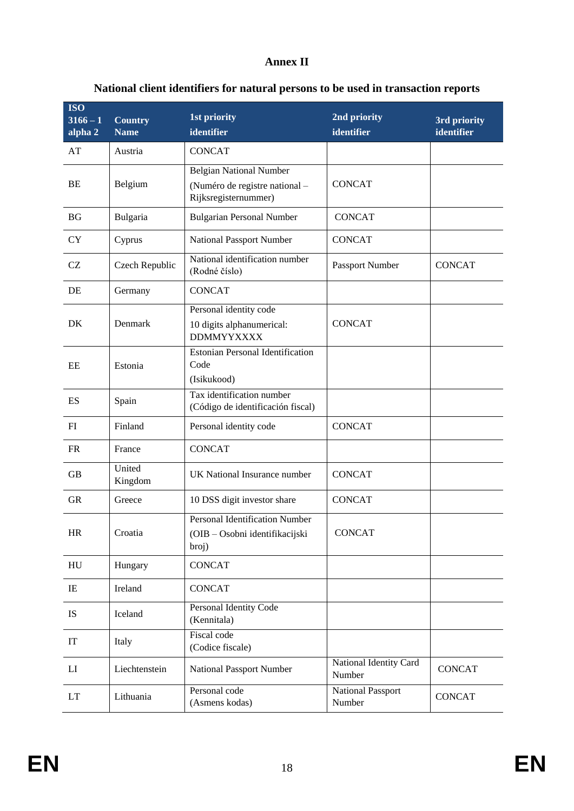#### **Annex II**

| <b>ISO</b><br>$3166 - 1$<br>alpha 2 | <b>Country</b><br><b>Name</b> | 1st priority<br>identifier                                                               | 2nd priority<br>identifier         | 3rd priority<br>identifier |
|-------------------------------------|-------------------------------|------------------------------------------------------------------------------------------|------------------------------------|----------------------------|
| AT                                  | Austria                       | <b>CONCAT</b>                                                                            |                                    |                            |
| BE                                  | Belgium                       | <b>Belgian National Number</b><br>(Numéro de registre national -<br>Rijksregisternummer) | <b>CONCAT</b>                      |                            |
| <b>BG</b>                           | Bulgaria                      | <b>Bulgarian Personal Number</b>                                                         | <b>CONCAT</b>                      |                            |
| <b>CY</b>                           | Cyprus                        | National Passport Number                                                                 | <b>CONCAT</b>                      |                            |
| CZ                                  | Czech Republic                | National identification number<br>(Rodné číslo)                                          | Passport Number                    | <b>CONCAT</b>              |
| DE                                  | Germany                       | <b>CONCAT</b>                                                                            |                                    |                            |
| DK                                  | Denmark                       | Personal identity code<br>10 digits alphanumerical:<br><b>DDMMYYXXXX</b>                 | <b>CONCAT</b>                      |                            |
| EE                                  | Estonia                       | <b>Estonian Personal Identification</b><br>Code<br>(Isikukood)                           |                                    |                            |
| ES                                  | Spain                         | Tax identification number<br>(Código de identificación fiscal)                           |                                    |                            |
| FI                                  | Finland                       | Personal identity code                                                                   | <b>CONCAT</b>                      |                            |
| <b>FR</b>                           | France                        | <b>CONCAT</b>                                                                            |                                    |                            |
| <b>GB</b>                           | United<br>Kingdom             | UK National Insurance number                                                             | <b>CONCAT</b>                      |                            |
| <b>GR</b>                           | Greece                        | 10 DSS digit investor share                                                              | <b>CONCAT</b>                      |                            |
| HR                                  | Croatia                       | Personal Identification Number<br>(OIB - Osobni identifikacijski<br>broj)                | <b>CONCAT</b>                      |                            |
| HU                                  | Hungary                       | <b>CONCAT</b>                                                                            |                                    |                            |
| IE                                  | Ireland                       | <b>CONCAT</b>                                                                            |                                    |                            |
| <b>IS</b>                           | Iceland                       | Personal Identity Code<br>(Kennitala)                                                    |                                    |                            |
| IT                                  | Italy                         | Fiscal code<br>(Codice fiscale)                                                          |                                    |                            |
| LI                                  | Liechtenstein                 | <b>National Passport Number</b>                                                          | National Identity Card<br>Number   | <b>CONCAT</b>              |
| LT                                  | Lithuania                     | Personal code<br>(Asmens kodas)                                                          | <b>National Passport</b><br>Number | <b>CONCAT</b>              |

#### **National client identifiers for natural persons to be used in transaction reports**